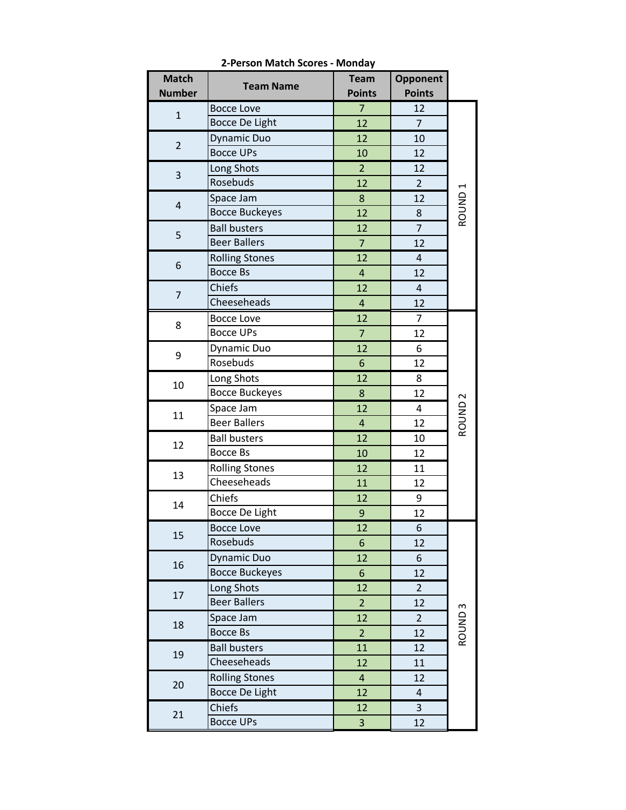| <b>Match</b>   | <b>Team Name</b>      | <b>Team</b>    | Opponent                |                    |
|----------------|-----------------------|----------------|-------------------------|--------------------|
| <b>Number</b>  |                       | <b>Points</b>  | <b>Points</b>           |                    |
| $\mathbf{1}$   | <b>Bocce Love</b>     | $\overline{7}$ | 12                      |                    |
|                | <b>Bocce De Light</b> | 12             | $\overline{7}$          |                    |
| $\overline{2}$ | <b>Dynamic Duo</b>    | 12             | 10                      |                    |
|                | <b>Bocce UPs</b>      | 10             | 12                      |                    |
| 3              | Long Shots            | $\overline{2}$ | 12                      |                    |
|                | Rosebuds              | 12             | $\overline{2}$          |                    |
| $\overline{4}$ | Space Jam             | 8              | 12                      | ROUND <sub>1</sub> |
|                | <b>Bocce Buckeyes</b> | 12             | 8                       |                    |
| 5              | <b>Ball busters</b>   | 12             | $\overline{7}$          |                    |
|                | <b>Beer Ballers</b>   | $\overline{7}$ | 12                      |                    |
| 6              | <b>Rolling Stones</b> | 12             | $\overline{\mathbf{4}}$ |                    |
|                | <b>Bocce Bs</b>       | $\overline{4}$ | 12                      |                    |
|                | Chiefs                | 12             | 4                       |                    |
| $\overline{7}$ | Cheeseheads           | $\overline{4}$ | 12                      |                    |
|                | <b>Bocce Love</b>     | 12             | $\overline{7}$          |                    |
| 8              | <b>Bocce UPs</b>      | $\overline{7}$ | 12                      |                    |
|                | Dynamic Duo           | 12             | 6                       |                    |
| 9              | Rosebuds              | 6              | 12                      |                    |
| 10             | Long Shots            | 12             | 8                       |                    |
|                | <b>Bocce Buckeyes</b> | 8              | 12                      |                    |
|                | Space Jam             | 12             | 4                       | ROUND <sub>2</sub> |
| 11             | <b>Beer Ballers</b>   | 4              | 12                      |                    |
| 12             | <b>Ball busters</b>   | 12             | 10                      |                    |
|                | <b>Bocce Bs</b>       | 10             | 12                      |                    |
|                | <b>Rolling Stones</b> | 12             | 11                      |                    |
| 13             | Cheeseheads           | 11             | 12                      |                    |
| 14             | Chiefs                | 12             | 9                       |                    |
|                | <b>Bocce De Light</b> | 9              | 12                      |                    |
| 15             | <b>Bocce Love</b>     | 12             | 6                       |                    |
|                | Rosebuds              | 6              | 12                      |                    |
|                | <b>Dynamic Duo</b>    | 12             | 6                       |                    |
| 16             | <b>Bocce Buckeyes</b> | 6              | 12                      |                    |
|                | Long Shots            | 12             | $\overline{2}$          |                    |
| 17             | <b>Beer Ballers</b>   | $\overline{2}$ | 12                      |                    |
|                | Space Jam             | 12             | $\overline{2}$          | ROUND <sub>3</sub> |
| 18             | <b>Bocce Bs</b>       | $\overline{2}$ | 12                      |                    |
|                | <b>Ball busters</b>   | 11             | 12                      |                    |
| 19             | Cheeseheads           | 12             | 11                      |                    |
|                | <b>Rolling Stones</b> | $\overline{4}$ | 12                      |                    |
| 20             | <b>Bocce De Light</b> | 12             | 4                       |                    |
|                | Chiefs                | 12             | 3                       |                    |
| 21             | <b>Bocce UPs</b>      | 3              | 12                      |                    |

**2-Person Match Scores - Monday**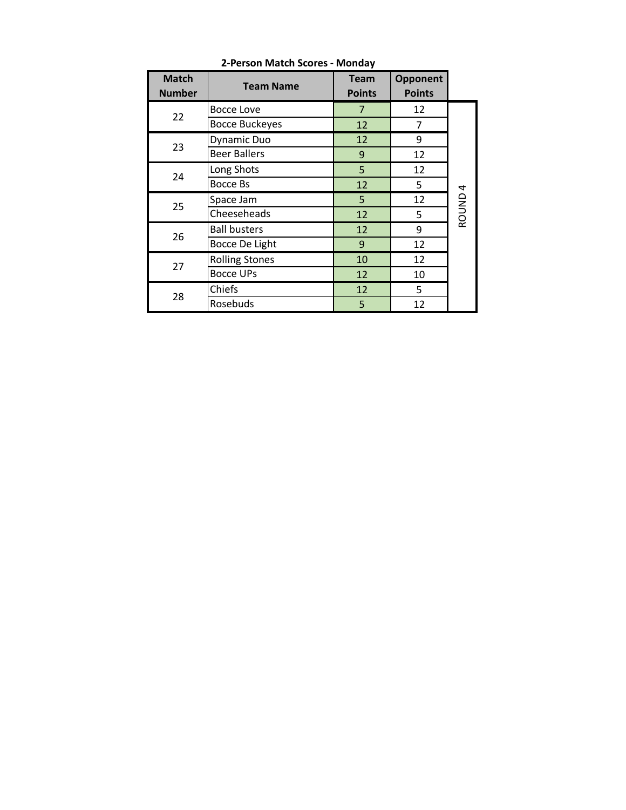| <b>Match</b><br><b>Number</b> | <b>Team Name</b>      | <b>Team</b><br><b>Points</b> | Opponent<br><b>Points</b> |                    |
|-------------------------------|-----------------------|------------------------------|---------------------------|--------------------|
|                               | <b>Bocce Love</b>     | 7                            | 12                        |                    |
| 22                            | <b>Bocce Buckeyes</b> | 12                           | 7                         |                    |
| 23                            | Dynamic Duo           | 12                           | 9                         |                    |
|                               | <b>Beer Ballers</b>   | $9\,$                        | 12                        |                    |
|                               | Long Shots            | 5                            | 12                        |                    |
| 24                            | Bocce Bs              | 12                           | 5                         |                    |
| 25                            | Space Jam             | 5                            | 12                        | ROUND <sub>4</sub> |
|                               | Cheeseheads           | 12                           | 5                         |                    |
| 26                            | <b>Ball busters</b>   | 12                           | 9                         |                    |
|                               | Bocce De Light        | 9                            | 12                        |                    |
| 27                            | <b>Rolling Stones</b> | 10                           | 12                        |                    |
|                               | <b>Bocce UPs</b>      | 12                           | 10                        |                    |
| 28                            | Chiefs                | 12                           | 5                         |                    |
|                               | Rosebuds              | 5                            | 12                        |                    |

**2-Person Match Scores - Monday**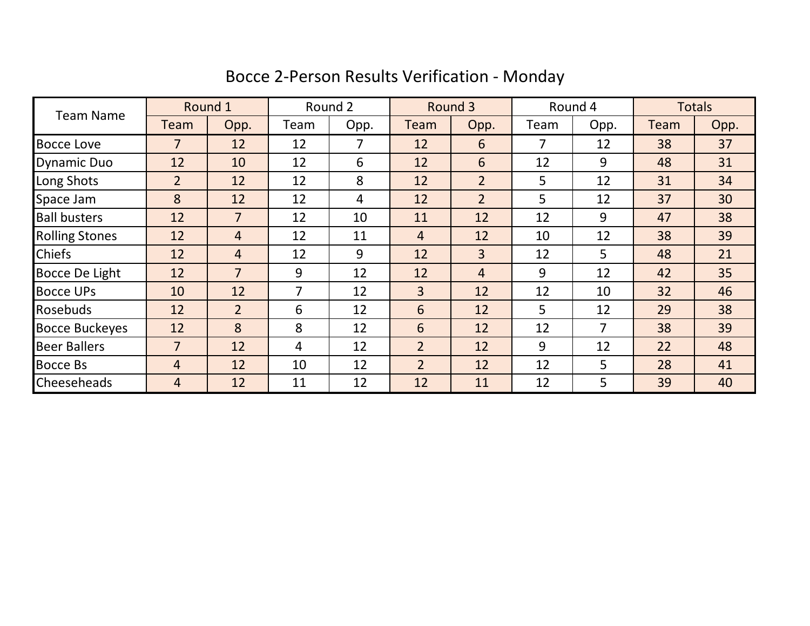|  | Bocce 2-Person Results Verification - Monday |  |  |  |
|--|----------------------------------------------|--|--|--|
|  |                                              |  |  |  |

| <b>Team Name</b>      | Round 1        |                | Round 2 |      | Round 3        |                | Round 4        |      | <b>Totals</b> |      |
|-----------------------|----------------|----------------|---------|------|----------------|----------------|----------------|------|---------------|------|
|                       | Team           | Opp.           | Team    | Opp. | Team           | Opp.           | Team           | Opp. | Team          | Opp. |
| <b>Bocce Love</b>     | 7              | 12             | 12      | 7    | 12             | 6              | 7              | 12   | 38            | 37   |
| <b>Dynamic Duo</b>    | 12             | 10             | 12      | 6    | 12             | 6              | 12             | 9    | 48            | 31   |
| Long Shots            | $\overline{2}$ | 12             | 12      | 8    | 12             | $\overline{2}$ | 5              | 12   | 31            | 34   |
| Space Jam             | 8              | 12             | 12      | 4    | 12             | $\overline{2}$ | 5              | 12   | 37            | 30   |
| <b>Ball busters</b>   | 12             | $\overline{7}$ | 12      | 10   | 11             | 12             | 12             | 9    | 47            | 38   |
| <b>Rolling Stones</b> | 12             | 4              | 12      | 11   | $\overline{4}$ | 12             | 10             | 12   | 38            | 39   |
| <b>Chiefs</b>         | 12             | $\overline{4}$ | 12      | 9    | 12             | $\overline{3}$ | 12             | 5    | 48            | 21   |
| Bocce De Light        | 12             | $\overline{7}$ | 9       | 12   | 12             | $\overline{4}$ | 9              | 12   | 42            | 35   |
| <b>Bocce UPs</b>      | 10             | 12             | 7       | 12   | $\overline{3}$ | 12             | 12             | 10   | 32            | 46   |
| Rosebuds              | 12             | $\overline{2}$ | 6       | 12   | 6              | 12             | $5\phantom{.}$ | 12   | 29            | 38   |
| <b>Bocce Buckeyes</b> | 12             | 8              | 8       | 12   | 6              | 12             | 12             | 7    | 38            | 39   |
| <b>Beer Ballers</b>   | $\overline{7}$ | 12             | 4       | 12   | $\overline{2}$ | 12             | 9              | 12   | 22            | 48   |
| <b>Bocce Bs</b>       | $\overline{4}$ | 12             | 10      | 12   | $\overline{2}$ | 12             | 12             | 5    | 28            | 41   |
| <b>Cheeseheads</b>    | 4              | 12             | 11      | 12   | 12             | 11             | 12             | 5    | 39            | 40   |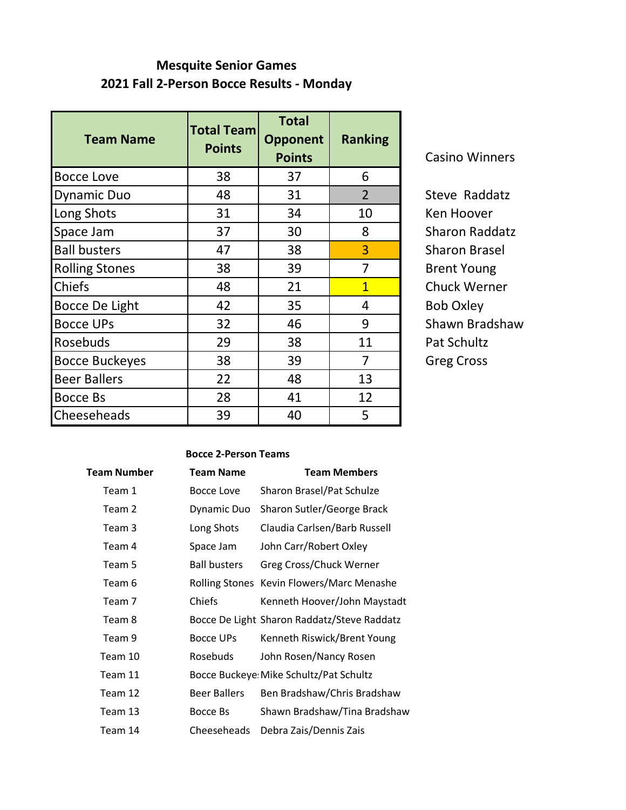## **Mesquite Senior Games 2021 Fall 2-Person Bocce Results - Monday**

| <b>Team Name</b>      | <b>Total Team</b><br><b>Points</b> | <b>Total</b><br><b>Opponent</b><br><b>Points</b> | <b>Ranking</b> |
|-----------------------|------------------------------------|--------------------------------------------------|----------------|
| <b>Bocce Love</b>     | 38                                 | 37                                               | 6              |
| <b>Dynamic Duo</b>    | 48                                 | 31                                               | $\overline{2}$ |
| Long Shots            | 31                                 | 34                                               | 10             |
| Space Jam             | 37                                 | 30                                               | 8              |
| <b>Ball busters</b>   | 47                                 | 38                                               | 3              |
| <b>Rolling Stones</b> | 38                                 | 39                                               | 7              |
| <b>Chiefs</b>         | 48                                 | 21                                               | $\overline{1}$ |
| Bocce De Light        | 42                                 | 35                                               | 4              |
| <b>Bocce UPs</b>      | 32                                 | 46                                               | 9              |
| Rosebuds              | 29                                 | 38                                               | 11             |
| <b>Bocce Buckeyes</b> | 38                                 | 39                                               | 7              |
| <b>Beer Ballers</b>   | 22                                 | 48                                               | 13             |
| <b>Bocce Bs</b>       | 28                                 | 41                                               | 12             |
| Cheeseheads           | 39                                 | 40                                               | 5              |

Casino Winners

Steve Raddatz Ken Hoover Sharon Raddatz Sharon Brasel **Brent Young** Chuck Werner Bob Oxley Shawn Bradshaw Pat Schultz Greg Cross

#### **Bocce 2-Person Teams**

| Team Number | <b>Team Name</b>    | <b>Team Members</b>                         |
|-------------|---------------------|---------------------------------------------|
| Team 1      | Bocce Love          | Sharon Brasel/Pat Schulze                   |
| Team 2      | Dynamic Duo         | Sharon Sutler/George Brack                  |
| Team 3      | Long Shots          | Claudia Carlsen/Barb Russell                |
| Team 4      | Space Jam           | John Carr/Robert Oxley                      |
| Team 5      | <b>Ball busters</b> | Greg Cross/Chuck Werner                     |
| Team 6      |                     | Rolling Stones Kevin Flowers/Marc Menashe   |
| Team 7      | Chiefs              | Kenneth Hoover/John Maystadt                |
| Team 8      |                     | Bocce De Light Sharon Raddatz/Steve Raddatz |
| Team 9      | <b>Bocce UPs</b>    | Kenneth Riswick/Brent Young                 |
| Team 10     | Rosebuds            | John Rosen/Nancy Rosen                      |
| Team 11     |                     | Bocce Buckeye: Mike Schultz/Pat Schultz     |
| Team 12     | <b>Beer Ballers</b> | Ben Bradshaw/Chris Bradshaw                 |
| Team 13     | Bocce Bs            | Shawn Bradshaw/Tina Bradshaw                |
| Team 14     | Cheeseheads         | Debra Zais/Dennis Zais                      |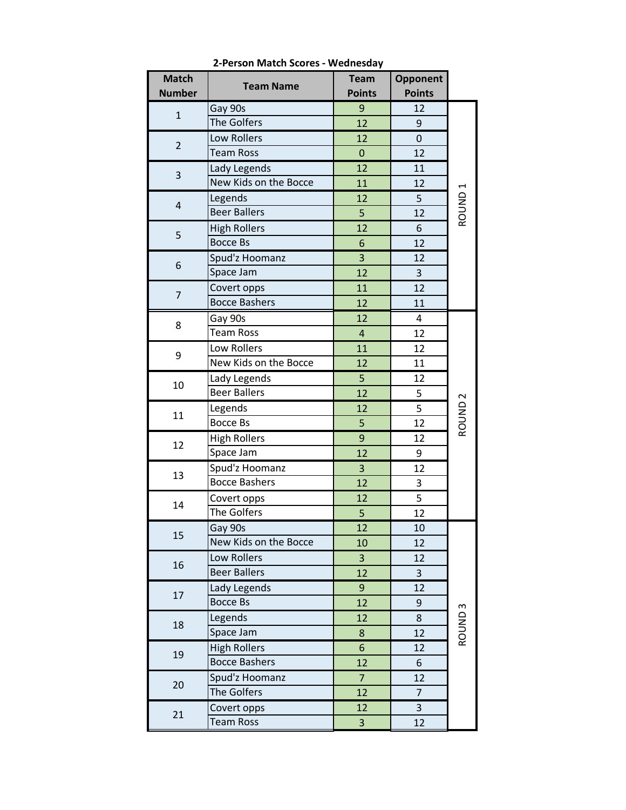| <b>Match</b>   | <b>Team Name</b>      | <b>Team</b>      | Opponent       |                    |
|----------------|-----------------------|------------------|----------------|--------------------|
| <b>Number</b>  |                       | <b>Points</b>    | <b>Points</b>  |                    |
| $\mathbf{1}$   | Gay 90s               | 9                | 12             |                    |
|                | The Golfers           | 12               | 9              |                    |
| $\overline{2}$ | Low Rollers           | 12               | 0              |                    |
|                | <b>Team Ross</b>      | $\mathbf 0$      | 12             |                    |
| 3              | Lady Legends          | 12               | 11             |                    |
|                | New Kids on the Bocce | 11               | 12             |                    |
| $\overline{4}$ | Legends               | 12               | 5              | ROUND <sub>1</sub> |
|                | <b>Beer Ballers</b>   | 5                | 12             |                    |
| 5              | <b>High Rollers</b>   | 12               | 6              |                    |
|                | <b>Bocce Bs</b>       | $\boldsymbol{6}$ | 12             |                    |
|                | Spud'z Hoomanz        | 3                | 12             |                    |
| 6              | Space Jam             | 12               | 3              |                    |
|                | Covert opps           | 11               | 12             |                    |
| $\overline{7}$ | <b>Bocce Bashers</b>  | 12               | 11             |                    |
|                | Gay 90s               | 12               | 4              |                    |
| 8              | <b>Team Ross</b>      | $\overline{4}$   | 12             |                    |
|                | Low Rollers           | 11               | 12             |                    |
| 9              | New Kids on the Bocce | 12               | 11             |                    |
| 10             | Lady Legends          | 5                | 12             |                    |
|                | <b>Beer Ballers</b>   | 12               | 5              |                    |
|                | Legends               | 12               | 5              | ROUND <sub>2</sub> |
| 11             | <b>Bocce Bs</b>       | 5                | 12             |                    |
| 12             | <b>High Rollers</b>   | 9                | 12             |                    |
|                | Space Jam             | 12               | 9              |                    |
| 13             | Spud'z Hoomanz        | 3                | 12             |                    |
|                | <b>Bocce Bashers</b>  | 12               | 3              |                    |
| 14             | Covert opps           | 12               | 5              |                    |
|                | The Golfers           | 5                | 12             |                    |
|                | Gay 90s               | 12               | 10             |                    |
| 15             | New Kids on the Bocce | 10               | 12             |                    |
|                | Low Rollers           | 3                | 12             |                    |
| 16             | <b>Beer Ballers</b>   | 12               | 3              |                    |
|                | Lady Legends          | 9                | 12             |                    |
| 17             | <b>Bocce Bs</b>       | 12               | 9              |                    |
|                | Legends               | 12               | 8              |                    |
| 18             | Space Jam             | 8                | 12             | ROUND <sub>3</sub> |
|                | <b>High Rollers</b>   | $6\phantom{a}$   | 12             |                    |
| 19             | <b>Bocce Bashers</b>  | 12               | 6              |                    |
|                | Spud'z Hoomanz        | $\overline{7}$   | 12             |                    |
| 20             | The Golfers           | 12               | $\overline{7}$ |                    |
|                | Covert opps           | 12               | 3              |                    |
| 21             | <b>Team Ross</b>      | 3                | 12             |                    |

**2-Person Match Scores - Wednesday**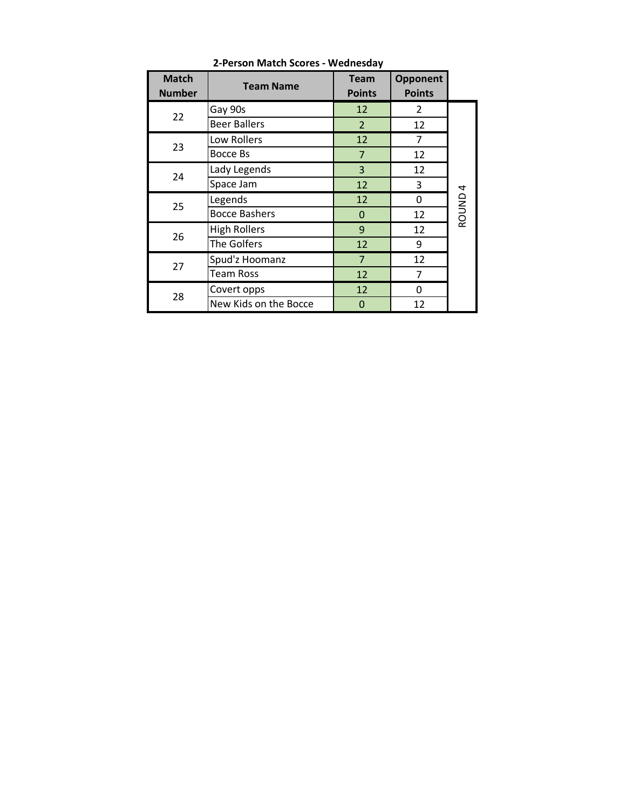| <b>Match</b><br><b>Number</b> | <b>Team Name</b>      | <b>Team</b><br><b>Points</b> | Opponent<br><b>Points</b> |                    |
|-------------------------------|-----------------------|------------------------------|---------------------------|--------------------|
|                               | Gay 90s               | 12                           | 2                         |                    |
| 22                            | <b>Beer Ballers</b>   | $\overline{2}$               | 12                        |                    |
| 23                            | Low Rollers           | 12                           | 7                         |                    |
|                               | Bocce Bs              | 7                            | 12                        |                    |
| 24                            | Lady Legends          | 3                            | 12                        |                    |
|                               | Space Jam             | 12                           | 3                         |                    |
| 25                            | Legends               | 12                           | 0                         | ROUND <sub>4</sub> |
|                               | <b>Bocce Bashers</b>  | $\Omega$                     | 12                        |                    |
| 26                            | <b>High Rollers</b>   | 9                            | 12                        |                    |
|                               | The Golfers           | 12                           | 9                         |                    |
| 27                            | Spud'z Hoomanz        | $\overline{7}$               | 12                        |                    |
|                               | <b>Team Ross</b>      | 12                           | 7                         |                    |
| 28                            | Covert opps           | 12                           | 0                         |                    |
|                               | New Kids on the Bocce | 0                            | 12                        |                    |

**2-Person Match Scores - Wednesday**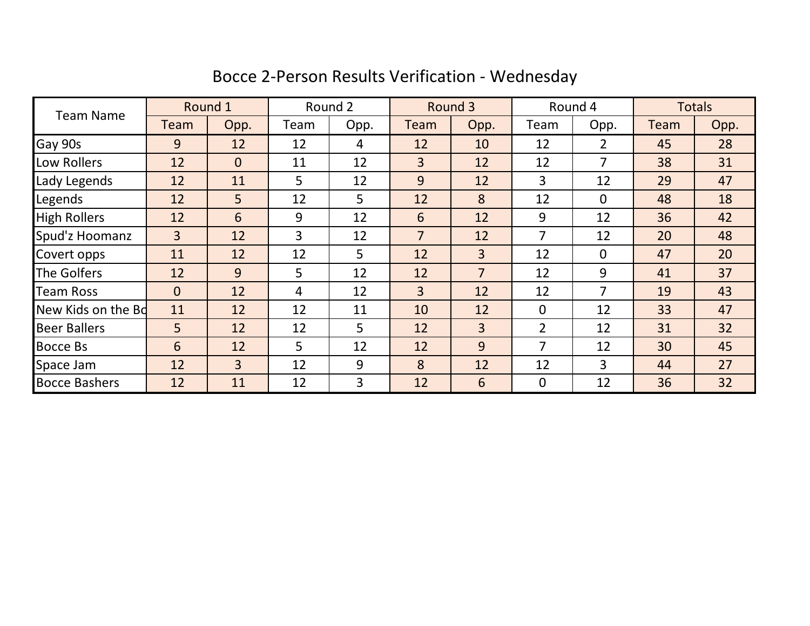|                      |                | Round 1        |      | Round 2        |                | Round 3        |                | Round 4        |             | <b>Totals</b> |
|----------------------|----------------|----------------|------|----------------|----------------|----------------|----------------|----------------|-------------|---------------|
| <b>Team Name</b>     | Team           | Opp.           | Team | Opp.           | Team           | Opp.           | Team           | Opp.           | <b>Team</b> | Opp.          |
| Gay 90s              | 9              | 12             | 12   | 4              | 12             | 10             | 12             | $\overline{2}$ | 45          | 28            |
| Low Rollers          | 12             | $\overline{0}$ | 11   | 12             | $\overline{3}$ | 12             | 12             | 7              | 38          | 31            |
| Lady Legends         | 12             | 11             | 5    | 12             | 9              | 12             | 3              | 12             | 29          | 47            |
| Legends              | 12             | 5              | 12   | 5              | 12             | 8              | 12             | $\mathbf 0$    | 48          | 18            |
| <b>High Rollers</b>  | 12             | 6              | 9    | 12             | 6              | 12             | 9              | 12             | 36          | 42            |
| Spud'z Hoomanz       | $\overline{3}$ | 12             | 3    | 12             | $\overline{7}$ | 12             | 7              | 12             | 20          | 48            |
| Covert opps          | 11             | 12             | 12   | 5              | 12             | 3              | 12             | $\mathbf 0$    | 47          | 20            |
| The Golfers          | 12             | 9              | 5    | 12             | 12             | $\overline{7}$ | 12             | 9              | 41          | 37            |
| <b>Team Ross</b>     | $\overline{0}$ | 12             | 4    | 12             | $\overline{3}$ | 12             | 12             | $\overline{7}$ | 19          | 43            |
| New Kids on the Bd   | 11             | 12             | 12   | 11             | 10             | 12             | $\mathbf 0$    | 12             | 33          | 47            |
| <b>Beer Ballers</b>  | 5 <sup>1</sup> | 12             | 12   | 5 <sup>5</sup> | 12             | 3              | $\overline{2}$ | 12             | 31          | 32            |
| <b>Bocce Bs</b>      | 6              | 12             | 5    | 12             | 12             | 9              | $\overline{7}$ | 12             | 30          | 45            |
| Space Jam            | 12             | $\overline{3}$ | 12   | 9              | 8              | 12             | 12             | 3              | 44          | 27            |
| <b>Bocce Bashers</b> | 12             | 11             | 12   | $\overline{3}$ | 12             | 6              | $\mathbf 0$    | 12             | 36          | 32            |

# Bocce 2-Person Results Verification - Wednesday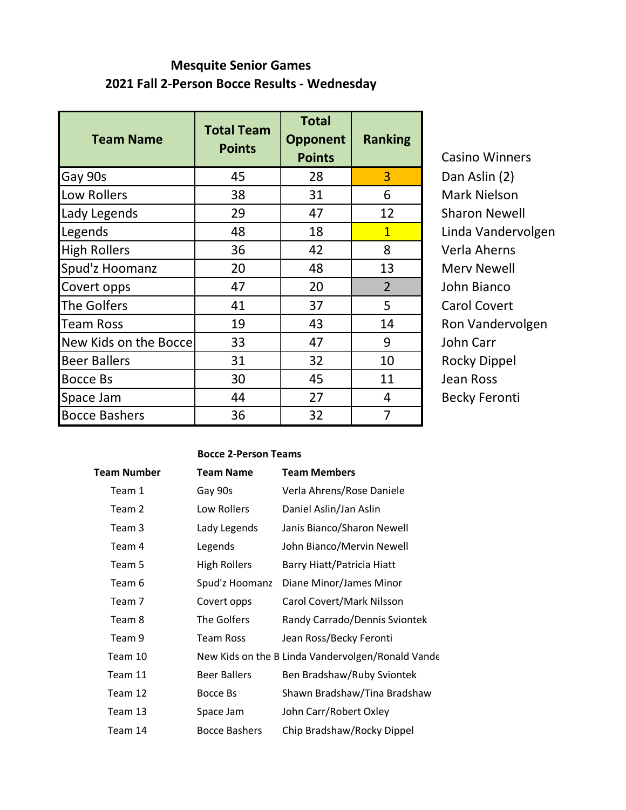## **Mesquite Senior Games 2021 Fall 2-Person Bocce Results - Wednesday**

| <b>Team Name</b>      | <b>Total Team</b><br><b>Points</b> | <b>Total</b><br><b>Opponent</b><br><b>Points</b> | <b>Ranking</b> | Casino W         |
|-----------------------|------------------------------------|--------------------------------------------------|----------------|------------------|
| Gay 90s               | 45                                 | 28                                               | 3              | Dan Aslin        |
| Low Rollers           | 38                                 | 31                                               | 6              | Mark Niel        |
| Lady Legends          | 29                                 | 47                                               | 12             | Sharon N         |
| Legends               | 48                                 | 18                                               | $\mathbf{1}$   | Linda Van        |
| <b>High Rollers</b>   | 36                                 | 42                                               | 8              | Verla Ahe        |
| Spud'z Hoomanz        | 20                                 | 48                                               | 13             | Merv Nev         |
| Covert opps           | 47                                 | 20                                               | $\overline{2}$ | John Bian        |
| The Golfers           | 41                                 | 37                                               | 5              | Carol Cov        |
| <b>Team Ross</b>      | 19                                 | 43                                               | 14             | <b>Ron Vand</b>  |
| New Kids on the Bocce | 33                                 | 47                                               | 9              | John Carr        |
| <b>Beer Ballers</b>   | 31                                 | 32                                               | 10             | <b>Rocky Dip</b> |
| <b>Bocce Bs</b>       | 30                                 | 45                                               | 11             | <b>Jean Ross</b> |
| Space Jam             | 44                                 | 27                                               | 4              | <b>Becky Fer</b> |
| <b>Bocce Bashers</b>  | 36                                 | 32                                               | 7              |                  |

Casino Winners Dan Aslin (2) Mark Nielson Sharon Newell Linda Vandervolgen Verla Aherns Merv Newell John Bianco Carol Covert Ron Vandervolgen Rocky Dippel Jean Ross Becky Feronti

#### **Bocce 2-Person Teams**

| Team Number | <b>Team Name</b>    | <b>Team Members</b>                               |
|-------------|---------------------|---------------------------------------------------|
| Team 1      | Gay 90s             | Verla Ahrens/Rose Daniele                         |
| Team 2      | Low Rollers         | Daniel Aslin/Jan Aslin                            |
| Team 3      | Lady Legends        | Janis Bianco/Sharon Newell                        |
| Team 4      | Legends             | John Bianco/Mervin Newell                         |
| Team 5      | <b>High Rollers</b> | Barry Hiatt/Patricia Hiatt                        |
| Team 6      | Spud'z Hoomanz      | Diane Minor/James Minor                           |
| Team 7      | Covert opps         | Carol Covert/Mark Nilsson                         |
| Team 8      | The Golfers         | Randy Carrado/Dennis Sviontek                     |
| Team 9      | <b>Team Ross</b>    | Jean Ross/Becky Feronti                           |
| Team 10     |                     | New Kids on the B Linda Vandervolgen/Ronald Vande |
| Team 11     | <b>Beer Ballers</b> | Ben Bradshaw/Ruby Sviontek                        |
| Team 12     | Bocce Bs            | Shawn Bradshaw/Tina Bradshaw                      |
| Team 13     | Space Jam           | John Carr/Robert Oxley                            |
| Team 14     | Bocce Bashers       | Chip Bradshaw/Rocky Dippel                        |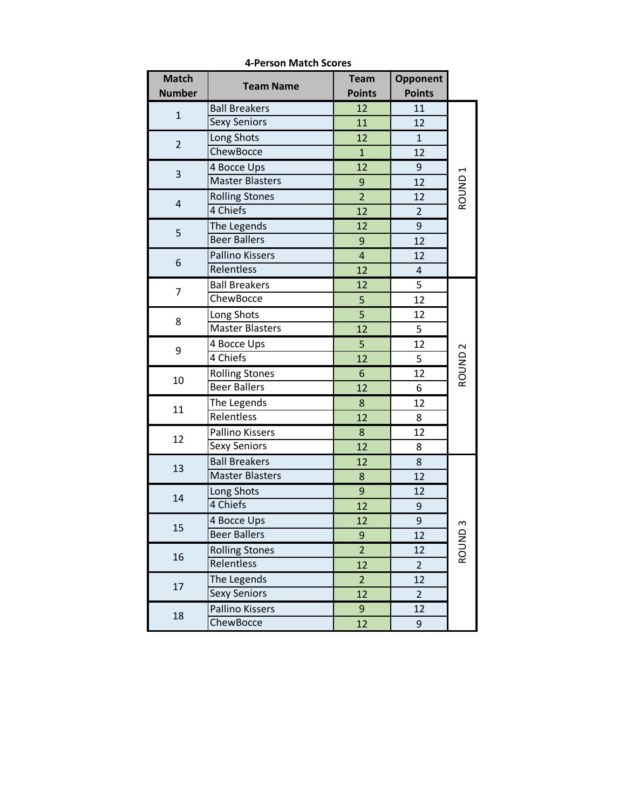| <b>Match</b>   | <b>Team Name</b>       | <b>Team</b>             | Opponent         |                    |
|----------------|------------------------|-------------------------|------------------|--------------------|
| <b>Number</b>  |                        | <b>Points</b>           | <b>Points</b>    |                    |
| $\mathbf{1}$   | <b>Ball Breakers</b>   | 12                      | 11               |                    |
|                | <b>Sexy Seniors</b>    | 11                      | 12               |                    |
| $\overline{2}$ | Long Shots             | 12                      | $\mathbf{1}$     |                    |
|                | ChewBocce              | $\mathbf{1}$            | 12               |                    |
| $\mathsf 3$    | 4 Bocce Ups            | 12                      | $\boldsymbol{9}$ |                    |
|                | <b>Master Blasters</b> | 9                       | 12               |                    |
| $\overline{4}$ | <b>Rolling Stones</b>  | $\overline{2}$          | 12               | ROUND <sub>1</sub> |
|                | 4 Chiefs               | 12                      | $\overline{2}$   |                    |
|                | The Legends            | 12                      | 9                |                    |
| 5              | <b>Beer Ballers</b>    | 9                       | 12               |                    |
|                | <b>Pallino Kissers</b> | $\overline{\mathbf{r}}$ | 12               |                    |
| 6              | Relentless             | 12                      | $\sqrt{4}$       |                    |
|                | <b>Ball Breakers</b>   | 12                      | 5                |                    |
| 7              | ChewBocce              | 5                       | 12               |                    |
|                | Long Shots             | 5                       | 12               |                    |
| 8              | <b>Master Blasters</b> | 12                      | 5                |                    |
| 9              | 4 Bocce Ups            | 5                       | 12               |                    |
|                | 4 Chiefs               | 12                      | 5                | ROUND <sub>2</sub> |
| 10             | <b>Rolling Stones</b>  | 6                       | 12               |                    |
|                | <b>Beer Ballers</b>    | 12                      | 6                |                    |
| 11             | The Legends            | $\bf 8$                 | 12               |                    |
|                | Relentless             | 12                      | 8                |                    |
| 12             | Pallino Kissers        | 8                       | 12               |                    |
|                | <b>Sexy Seniors</b>    | 12                      | 8                |                    |
|                | <b>Ball Breakers</b>   | 12                      | 8                |                    |
| 13             | <b>Master Blasters</b> | $\bf 8$                 | 12               |                    |
| 14             | Long Shots             | $\boldsymbol{9}$        | 12               |                    |
|                | 4 Chiefs               | 12                      | 9                |                    |
| 15             | 4 Bocce Ups            | 12                      | 9                | w                  |
|                | <b>Beer Ballers</b>    | 9                       | 12               |                    |
| 16             | <b>Rolling Stones</b>  | $\overline{2}$          | 12               | ROUND              |
|                | Relentless             | 12                      | $\overline{2}$   |                    |
|                | The Legends            | $\overline{2}$          | 12               |                    |
| 17             | <b>Sexy Seniors</b>    | 12                      | $\overline{2}$   |                    |
|                | Pallino Kissers        | 9                       | 12               |                    |
| 18             | ChewBocce              | 12                      | 9                |                    |

**4-Person Match Scores**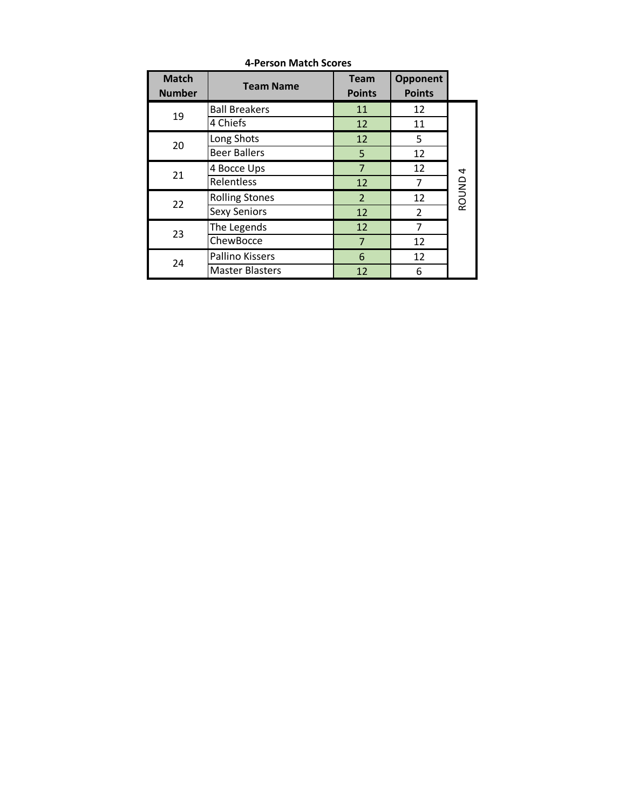| <b>Match</b><br><b>Number</b> | <b>Team Name</b>       | <b>Team</b><br><b>Points</b> | <b>Opponent</b><br><b>Points</b> |                    |
|-------------------------------|------------------------|------------------------------|----------------------------------|--------------------|
| 19                            | <b>Ball Breakers</b>   | 11                           | 12                               |                    |
|                               | 4 Chiefs               | 12                           | 11                               |                    |
| 20                            | Long Shots             | 12                           | 5                                |                    |
|                               | <b>Beer Ballers</b>    | 5                            | 12                               |                    |
| 21                            | 4 Bocce Ups            | $\overline{7}$               | 12                               |                    |
|                               | Relentless             | 12                           | 7                                |                    |
| 22                            | <b>Rolling Stones</b>  | 2                            | 12                               | ROUND <sub>4</sub> |
|                               | <b>Sexy Seniors</b>    | 12                           | $\mathcal{P}$                    |                    |
| 23                            | The Legends            | 12                           | 7                                |                    |
|                               | ChewBocce              | $\overline{7}$               | 12                               |                    |
| 24                            | Pallino Kissers        | 6                            | 12                               |                    |
|                               | <b>Master Blasters</b> | 12                           | 6                                |                    |

**4-Person Match Scores**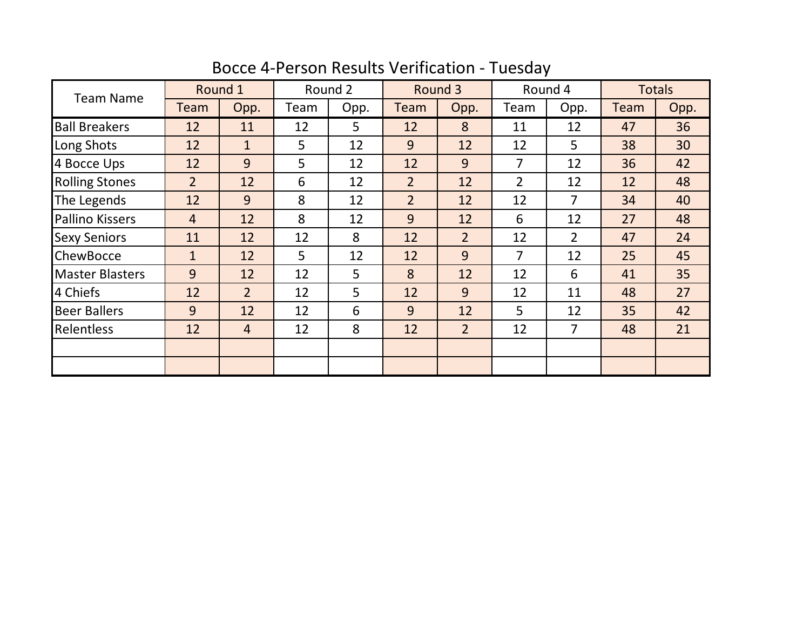| <b>Team Name</b>       | Round 1        |                | Round 2 |      | Round 3        |                | Round 4        |                | <b>Totals</b> |      |
|------------------------|----------------|----------------|---------|------|----------------|----------------|----------------|----------------|---------------|------|
|                        | Team           | Opp.           | Team    | Opp. | Team           | Opp.           | Team           | Opp.           | <b>Team</b>   | Opp. |
| <b>Ball Breakers</b>   | 12             | 11             | 12      | 5    | 12             | 8              | 11             | 12             | 47            | 36   |
| Long Shots             | 12             | $\mathbf{1}$   | 5       | 12   | 9              | 12             | 12             | 5              | 38            | 30   |
| 4 Bocce Ups            | 12             | 9              | 5       | 12   | 12             | 9              | 7              | 12             | 36            | 42   |
| <b>Rolling Stones</b>  | $\overline{2}$ | 12             | 6       | 12   | $\overline{2}$ | 12             | $\overline{2}$ | 12             | 12            | 48   |
| The Legends            | 12             | 9              | 8       | 12   | $\overline{2}$ | 12             | 12             | $\overline{7}$ | 34            | 40   |
| <b>Pallino Kissers</b> | $\overline{4}$ | 12             | 8       | 12   | 9              | 12             | 6              | 12             | 27            | 48   |
| <b>Sexy Seniors</b>    | 11             | 12             | 12      | 8    | 12             | $\overline{2}$ | 12             | $\overline{2}$ | 47            | 24   |
| ChewBocce              | $\mathbf{1}$   | 12             | 5       | 12   | 12             | 9              | 7              | 12             | 25            | 45   |
| <b>Master Blasters</b> | 9              | 12             | 12      | 5    | 8              | 12             | 12             | 6              | 41            | 35   |
| 4 Chiefs               | 12             | $\overline{2}$ | 12      | 5    | 12             | 9              | 12             | 11             | 48            | 27   |
| <b>Beer Ballers</b>    | 9              | 12             | 12      | 6    | 9              | 12             | 5              | 12             | 35            | 42   |
| Relentless             | 12             | $\overline{4}$ | 12      | 8    | 12             | $\overline{2}$ | 12             | $\overline{7}$ | 48            | 21   |
|                        |                |                |         |      |                |                |                |                |               |      |
|                        |                |                |         |      |                |                |                |                |               |      |

Bocce 4-Person Results Verification - Tuesday